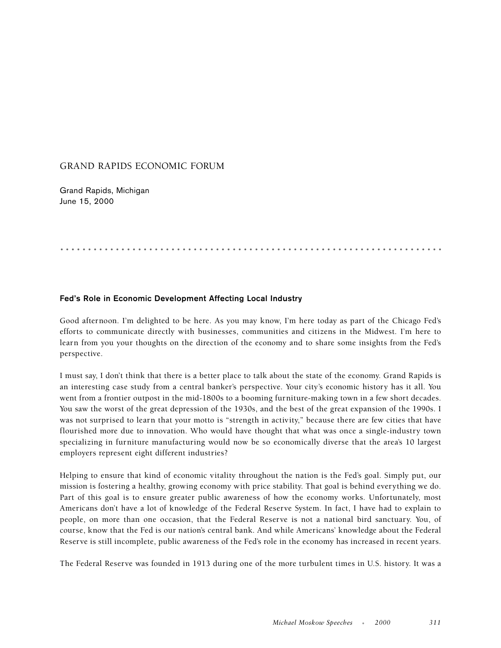## GRAND RAPIDS ECONOMIC FORUM

Grand Rapids, Michigan June 15, 2000

## .....................................................................

## **Fed's Role in Economic Development Affecting Local Industry**

Good afternoon. I'm delighted to be here. As you may know, I'm here today as part of the Chicago Fed's efforts to communicate directly with businesses, communities and citizens in the Midwest. I'm here to learn from you your thoughts on the direction of the economy and to share some insights from the Fed's perspective.

I must say, I don't think that there is a better place to talk about the state of the economy. Grand Rapids is an interesting case study from a central banker's perspective. Your city's economic history has it all. You went from a frontier outpost in the mid-1800s to a booming furniture-making town in a few short decades. You saw the worst of the great depression of the 1930s, and the best of the great expansion of the 1990s. I was not surprised to learn that your motto is "strength in activity," because there are few cities that have flourished more due to innovation. Who would have thought that what was once a single-industry town specializing in furniture manufacturing would now be so economically diverse that the area's 10 largest employers represent eight different industries?

Helping to ensure that kind of economic vitality throughout the nation is the Fed's goal. Simply put, our mission is fostering a healthy, growing economy with price stability. That goal is behind everything we do. Part of this goal is to ensure greater public awareness of how the economy works. Unfortunately, most Americans don't have a lot of knowledge of the Federal Reserve System. In fact, I have had to explain to people, on more than one occasion, that the Federal Reserve is not a national bird sanctuary. You, of course, know that the Fed is our nation's central bank. And while Americans' knowledge about the Federal Reserve is still incomplete, public awareness of the Fed's role in the economy has increased in recent years.

The Federal Reserve was founded in 1913 during one of the more turbulent times in U.S. history. It was a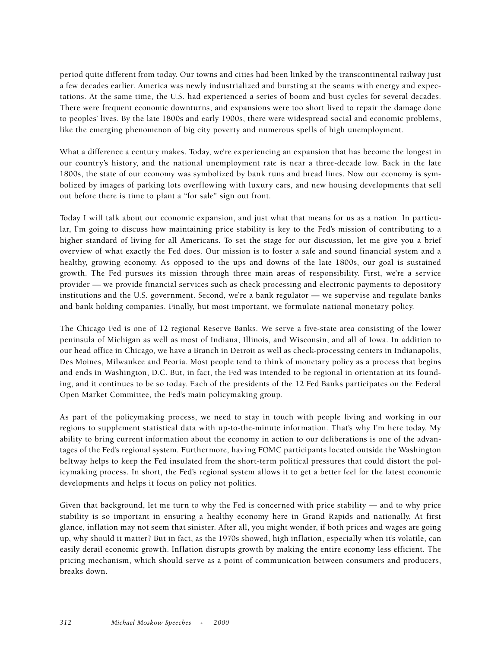period quite different from today. Our towns and cities had been linked by the transcontinental railway just a few decades earlier. America was newly industrialized and bursting at the seams with energy and expectations. At the same time, the U.S. had experienced a series of boom and bust cycles for several decades. There were frequent economic downturns, and expansions were too short lived to repair the damage done to peoples' lives. By the late 1800s and early 1900s, there were widespread social and economic problems, like the emerging phenomenon of big city poverty and numerous spells of high unemployment.

What a difference a century makes. Today, we're experiencing an expansion that has become the longest in our country's history, and the national unemployment rate is near a three-decade low. Back in the late 1800s, the state of our economy was symbolized by bank runs and bread lines. Now our economy is symbolized by images of parking lots overflowing with luxury cars, and new housing developments that sell out before there is time to plant a "for sale" sign out front.

Today I will talk about our economic expansion, and just what that means for us as a nation. In particular, I'm going to discuss how maintaining price stability is key to the Fed's mission of contributing to a higher standard of living for all Americans. To set the stage for our discussion, let me give you a brief overview of what exactly the Fed does. Our mission is to foster a safe and sound financial system and a healthy, growing economy. As opposed to the ups and downs of the late 1800s, our goal is sustained growth. The Fed pursues its mission through three main areas of responsibility. First, we're a service provider — we provide financial services such as check processing and electronic payments to depository institutions and the U.S. government. Second, we're a bank regulator — we supervise and regulate banks and bank holding companies. Finally, but most important, we formulate national monetary policy.

The Chicago Fed is one of 12 regional Reserve Banks. We serve a five-state area consisting of the lower peninsula of Michigan as well as most of Indiana, Illinois, and Wisconsin, and all of Iowa. In addition to our head office in Chicago, we have a Branch in Detroit as well as check-processing centers in Indianapolis, Des Moines, Milwaukee and Peoria. Most people tend to think of monetary policy as a process that begins and ends in Washington, D.C. But, in fact, the Fed was intended to be regional in orientation at its founding, and it continues to be so today. Each of the presidents of the 12 Fed Banks participates on the Federal Open Market Committee, the Fed's main policymaking group.

As part of the policymaking process, we need to stay in touch with people living and working in our regions to supplement statistical data with up-to-the-minute information. That's why I'm here today. My ability to bring current information about the economy in action to our deliberations is one of the advantages of the Fed's regional system. Furthermore, having FOMC participants located outside the Washington beltway helps to keep the Fed insulated from the short-term political pressures that could distort the policymaking process. In short, the Fed's regional system allows it to get a better feel for the latest economic developments and helps it focus on policy not politics.

Given that background, let me turn to why the Fed is concerned with price stability — and to why price stability is so important in ensuring a healthy economy here in Grand Rapids and nationally. At first glance, inflation may not seem that sinister. After all, you might wonder, if both prices and wages are going up, why should it matter? But in fact, as the 1970s showed, high inflation, especially when it's volatile, can easily derail economic growth. Inflation disrupts growth by making the entire economy less efficient. The pricing mechanism, which should serve as a point of communication between consumers and producers, breaks down.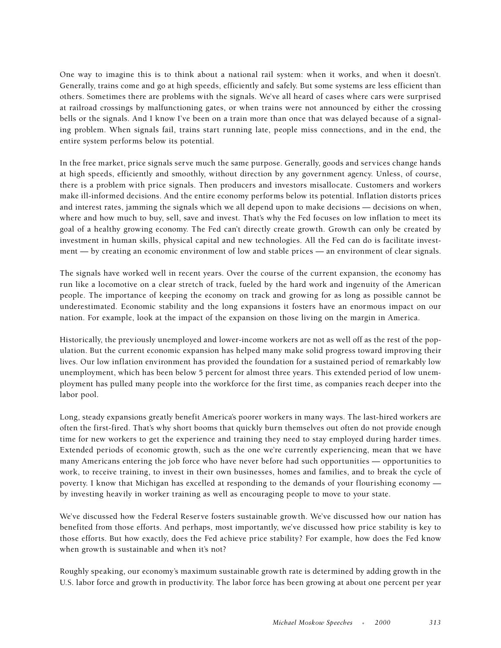One way to imagine this is to think about a national rail system: when it works, and when it doesn't. Generally, trains come and go at high speeds, efficiently and safely. But some systems are less efficient than others. Sometimes there are problems with the signals. We've all heard of cases where cars were surprised at railroad crossings by malfunctioning gates, or when trains were not announced by either the crossing bells or the signals. And I know I've been on a train more than once that was delayed because of a signaling problem. When signals fail, trains start running late, people miss connections, and in the end, the entire system performs below its potential.

In the free market, price signals serve much the same purpose. Generally, goods and services change hands at high speeds, efficiently and smoothly, without direction by any government agency. Unless, of course, there is a problem with price signals. Then producers and investors misallocate. Customers and workers make ill-informed decisions. And the entire economy performs below its potential. Inflation distorts prices and interest rates, jamming the signals which we all depend upon to make decisions — decisions on when, where and how much to buy, sell, save and invest. That's why the Fed focuses on low inflation to meet its goal of a healthy growing economy. The Fed can't directly create growth. Growth can only be created by investment in human skills, physical capital and new technologies. All the Fed can do is facilitate investment — by creating an economic environment of low and stable prices — an environment of clear signals.

The signals have worked well in recent years. Over the course of the current expansion, the economy has run like a locomotive on a clear stretch of track, fueled by the hard work and ingenuity of the American people. The importance of keeping the economy on track and growing for as long as possible cannot be underestimated. Economic stability and the long expansions it fosters have an enormous impact on our nation. For example, look at the impact of the expansion on those living on the margin in America.

Historically, the previously unemployed and lower-income workers are not as well off as the rest of the population. But the current economic expansion has helped many make solid progress toward improving their lives. Our low inflation environment has provided the foundation for a sustained period of remarkably low unemployment, which has been below 5 percent for almost three years. This extended period of low unemployment has pulled many people into the workforce for the first time, as companies reach deeper into the labor pool.

Long, steady expansions greatly benefit America's poorer workers in many ways. The last-hired workers are often the first-fired. That's why short booms that quickly burn themselves out often do not provide enough time for new workers to get the experience and training they need to stay employed during harder times. Extended periods of economic growth, such as the one we're currently experiencing, mean that we have many Americans entering the job force who have never before had such opportunities — opportunities to work, to receive training, to invest in their own businesses, homes and families, and to break the cycle of poverty. I know that Michigan has excelled at responding to the demands of your flourishing economy by investing heavily in worker training as well as encouraging people to move to your state.

We've discussed how the Federal Reserve fosters sustainable growth. We've discussed how our nation has benefited from those efforts. And perhaps, most importantly, we've discussed how price stability is key to those efforts. But how exactly, does the Fed achieve price stability? For example, how does the Fed know when growth is sustainable and when it's not?

Roughly speaking, our economy's maximum sustainable growth rate is determined by adding growth in the U.S. labor force and growth in productivity. The labor force has been growing at about one percent per year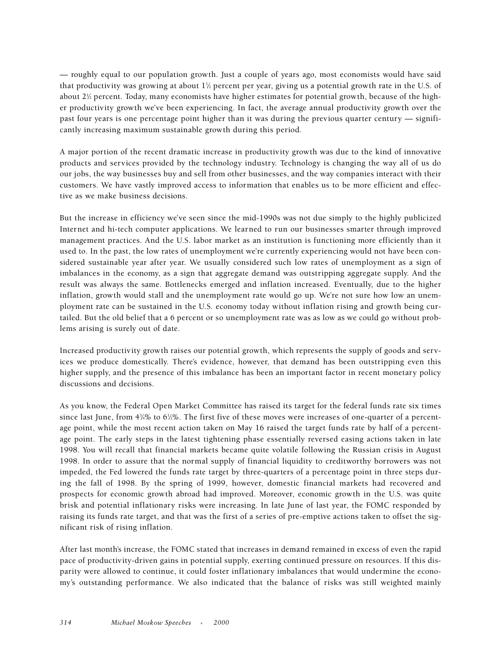— roughly equal to our population growth. Just a couple of years ago, most economists would have said that productivity was growing at about  $1\frac{1}{2}$  percent per year, giving us a potential growth rate in the U.S. of about 2½ percent. Today, many economists have higher estimates for potential growth, because of the higher productivity growth we've been experiencing. In fact, the average annual productivity growth over the past four years is one percentage point higher than it was during the previous quarter century — significantly increasing maximum sustainable growth during this period.

A major portion of the recent dramatic increase in productivity growth was due to the kind of innovative products and services provided by the technology industry. Technology is changing the way all of us do our jobs, the way businesses buy and sell from other businesses, and the way companies interact with their customers. We have vastly improved access to information that enables us to be more efficient and effective as we make business decisions.

But the increase in efficiency we've seen since the mid-1990s was not due simply to the highly publicized Internet and hi-tech computer applications. We learned to run our businesses smarter through improved management practices. And the U.S. labor market as an institution is functioning more efficiently than it used to. In the past, the low rates of unemployment we're currently experiencing would not have been considered sustainable year after year. We usually considered such low rates of unemployment as a sign of imbalances in the economy, as a sign that aggregate demand was outstripping aggregate supply. And the result was always the same. Bottlenecks emerged and inflation increased. Eventually, due to the higher inflation, growth would stall and the unemployment rate would go up. We're not sure how low an unemployment rate can be sustained in the U.S. economy today without inflation rising and growth being curtailed. But the old belief that a 6 percent or so unemployment rate was as low as we could go without problems arising is surely out of date.

Increased productivity growth raises our potential growth, which represents the supply of goods and services we produce domestically. There's evidence, however, that demand has been outstripping even this higher supply, and the presence of this imbalance has been an important factor in recent monetary policy discussions and decisions.

As you know, the Federal Open Market Committee has raised its target for the federal funds rate six times since last June, from 4¾% to 6½%. The first five of these moves were increases of one-quarter of a percentage point, while the most recent action taken on May 16 raised the target funds rate by half of a percentage point. The early steps in the latest tightening phase essentially reversed easing actions taken in late 1998. You will recall that financial markets became quite volatile following the Russian crisis in August 1998. In order to assure that the normal supply of financial liquidity to creditworthy borrowers was not impeded, the Fed lowered the funds rate target by three-quarters of a percentage point in three steps during the fall of 1998. By the spring of 1999, however, domestic financial markets had recovered and prospects for economic growth abroad had improved. Moreover, economic growth in the U.S. was quite brisk and potential inflationary risks were increasing. In late June of last year, the FOMC responded by raising its funds rate target, and that was the first of a series of pre-emptive actions taken to offset the significant risk of rising inflation.

After last month's increase, the FOMC stated that increases in demand remained in excess of even the rapid pace of productivity-driven gains in potential supply, exerting continued pressure on resources. If this disparity were allowed to continue, it could foster inflationary imbalances that would undermine the economy's outstanding performance. We also indicated that the balance of risks was still weighted mainly